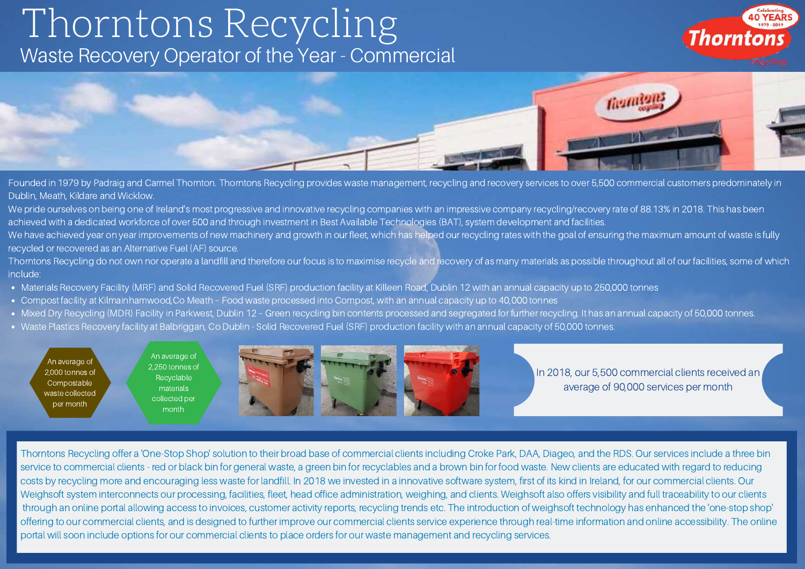## Thorntons Recycling Waste Recovery Operator of the Year - Commercial





Founded in 1979 by Padraig and Carmel Thornton. Thorntons Recycling provides waste management, recycling and recovery services to over 5,500 commercial customers predominately in Dublin, Meath, Kildare and Wicklow.

We pride ourselves on being one of Ireland's most progressive and innovative recycling companies with an impressive company recycling/recovery rate of 88.13% in 2018. This has been achieved with a dedicated workforce of over 500 and through investment in Best Available Technologies (BAT), system development and facilities.

We have achieved year on year improvements of new machinery and growth in our fleet, which has helped our recycling rates with the goal of ensuring the maximum amount of waste is fully recycled or recovered as an Alternative Fuel (AF) source.

Thorntons Recycling do not own nor operate a landfill and therefore our focus is to maximise recycle and recovery of as many materials as possible throughout all of our facilities, some of which include:

- Materials Recovery Facility (MRF) and Solid Recovered Fuel (SRF) production facility at Killeen Road, Dublin 12 with an annual capacity up to 250,000 tonnes
- Compost facility at Kilmainhamwood,Co Meath Food waste processed into Compost, with an annual capacity up to 40,000 tonnes
- Mixed Dry Recycling (MDR) Facility in Parkwest, Dublin 12 Green recycling bin contents processed and segregated for further recycling. It has an annual capacity of 50,000 tonnes.
- Waste Plastics Recovery facility at Balbriggan, Co Dublin Solid Recovered Fuel (SRF) production facility with an annual capacity of 50,000 tonnes.

An average of 2,000 tonnes of Compostable waste collected per month

An average of 2,250 tonnes of **Recyclable** materials collected per month



In 2018, our 5,500 commercial clients received an average of 90,000 services per month

Thorntons Recycling offer a 'One-Stop Shop' solution to their broad base of commercial clients including Croke Park, DAA, Diageo, and the RDS. Our services include a three bin service to commercial clients - red or black bin for general waste, a green bin for recyclables and a brown bin for food waste. New clients are educated with regard to reducing costs by recycling more and encouraging less waste for landfill. In 2018 we invested in a innovative software system, first of its kind in Ireland, for our commercial clients. Our Weighsoft system interconnects our processing, facilities, fleet, head office administration, weighing, and clients. Weighsoft also offers visibility and full traceability to our clients through an online portal allowing access to invoices, customer activity reports, recycling trends etc. The introduction of weighsoft technology has enhanced the 'one-stop shop' offering to our commercial clients, and is designed to further improve our commercial clients service experience through real-time information and online accessibility. The online portal will soon include options for our commercial clients to place orders for our waste management and recycling services.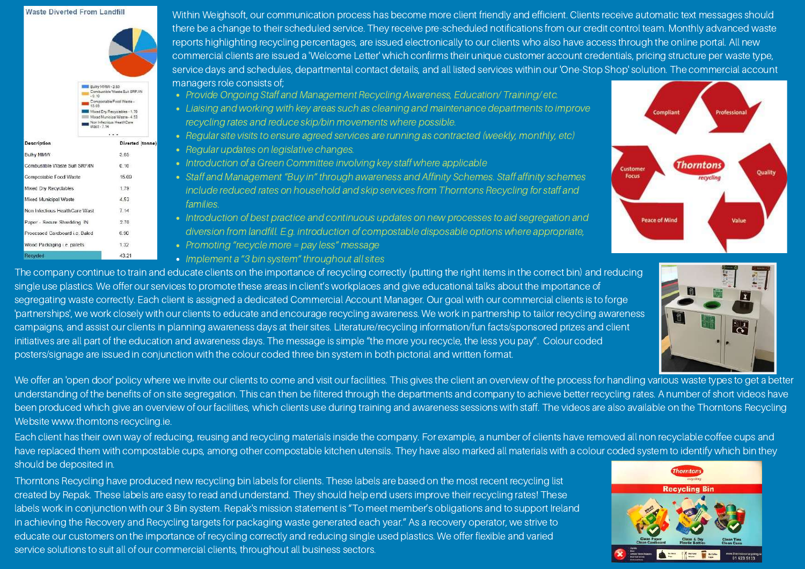## **Waste Diverted From Landfill**



Within Weighsoft, our communication process has become more client friendly and efficient. Clients receive automatic text messages should there be a change to their scheduled service. They receive pre-scheduled notifications from our credit control team. Monthly advanced waste reports highlighting recycling percentages, are issued electronically to our clients who also have access through the online portal. All new commercial clients are issued a 'Welcome Letter' which confirms their unique customer account credentials, pricing structure per waste type, service days and schedules, departmental contact details, and all listed services within our 'One-Stop Shop' solution. The commercial account managers role consists of;

- Provide Ongoing Staff and Management Recycling Awareness, Education/ Training/ etc.
- Liaising and working with key areas such as cleaning and maintenance departments to improve recycling rates and reduce skip/bin movements where possible.
- Regular site visits to ensure agreed services are running as contracted (weekly, monthly, etc)
- Regular updates on legislative changes.
- Introduction of a Green Committee involving key staff where applicable
- Staff and Management "Buy in" through awareness and Affinity Schemes. Staff affinity schemes include reduced rates on household and skip services from Thorntons Recycling for staff and families.
- Introduction of best practice and continuous updates on new processes to aid segregation and diversion from landfill. E.g. introduction of compostable disposable options where appropriate,
- Promoting "recycle more = pay less" message
- Implement a "3 bin system" throughout all sites

The company continue to train and educate clients on the importance of recycling correctly (putting the right items in the correct bin) and reducing single use plastics. We offer our services to promote these areas in client's workplaces and give educational talks about the importance of segregating waste correctly. Each client is assigned a dedicated Commercial Account Manager. Our goal with our commercial clients is to forge 'partnerships', we work closely with our clients to educate and encourage recycling awareness. We work in partnership to tailor recycling awareness campaigns, and assist our clients in planning awareness days at their sites. Literature/recycling information/fun facts/sponsored prizes and client initiatives are all part of the education and awareness days. The message is simple "the more you recycle, the less you pay". Colour coded posters/signage are issued in conjunction with the colour coded three bin system in both pictorial and written format.

We offer an 'open door' policy where we invite our clients to come and visit our facilities. This gives the client an overview of the process for handling various waste types to get a better understanding of the benefits of on site segregation. This can then be filtered through the departments and company to achieve better recycling rates. A number of short videos have been produced which give an overview of our facilities, which clients use during training and awareness sessions with staff. The videos are also available on the Thorntons Recycling Website www.thorntons-recycling.ie.

Each client has their own way of reducing, reusing and recycling materials inside the company. For example, a number of clients have removed all non recyclable coffee cups and have replaced them with compostable cups, among other compostable kitchen utensils. They have also marked all materials with a colour coded system to identify which bin they should be deposited in.

Thorntons Recycling have produced new recycling bin labels for clients. These labels are based on the most recent recycling list created by Repak. These labels are easy to read and understand. They should help end users improve their recycling rates! These labels work in conjunction with our 3 Bin system. Repak's mission statement is "To meet member's obligations and to support Ireland in achieving the Recovery and Recycling targets for packaging waste generated each year." As a recovery operator, we strive to educate our customers on the importance of recycling correctly and reducing single used plastics. We offer flexible and varied service solutions to suit all of our commercial clients, throughout all business sectors.





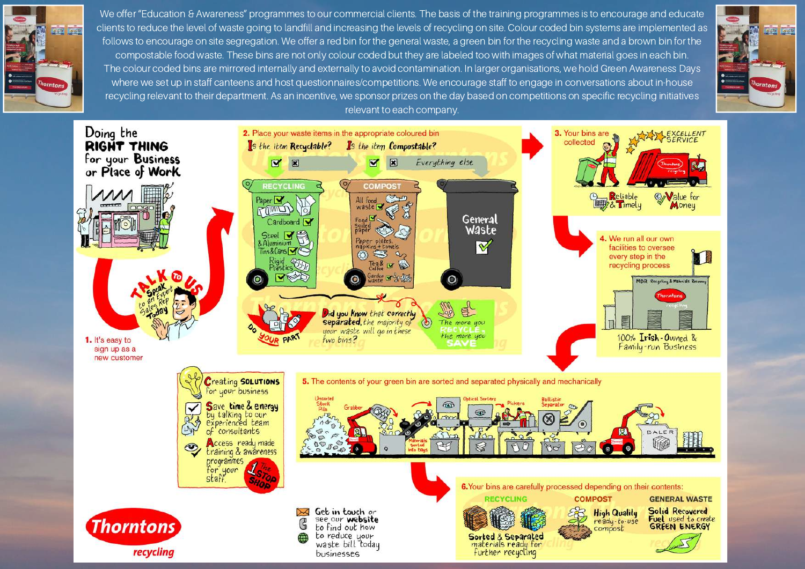

We offer "Education & Awareness" programmes to our commercial clients. The basis of the training programmes is to encourage and educate clients to reduce the level of waste going to landfill and increasing the levels of recycling on site. Colour coded bin systems are implemented as follows to encourage on site segregation. We offer a red bin for the general waste, a green bin for the recycling waste and a brown bin for the compostable food waste. These bins are not only colour coded but they are labeled too with images of what material goes in each bin. The colour coded bins are mirrored internally and externally to avoid contamination. In larger organisations, we hold Green Awareness Days where we set up in staff canteens and host questionnaires/competitions. We encourage staff to engage in conversations about in-house recycling relevant to their department. As an incentive, we sponsor prizes on the day based on competitions on specific recycling initiatives relevant to each company.